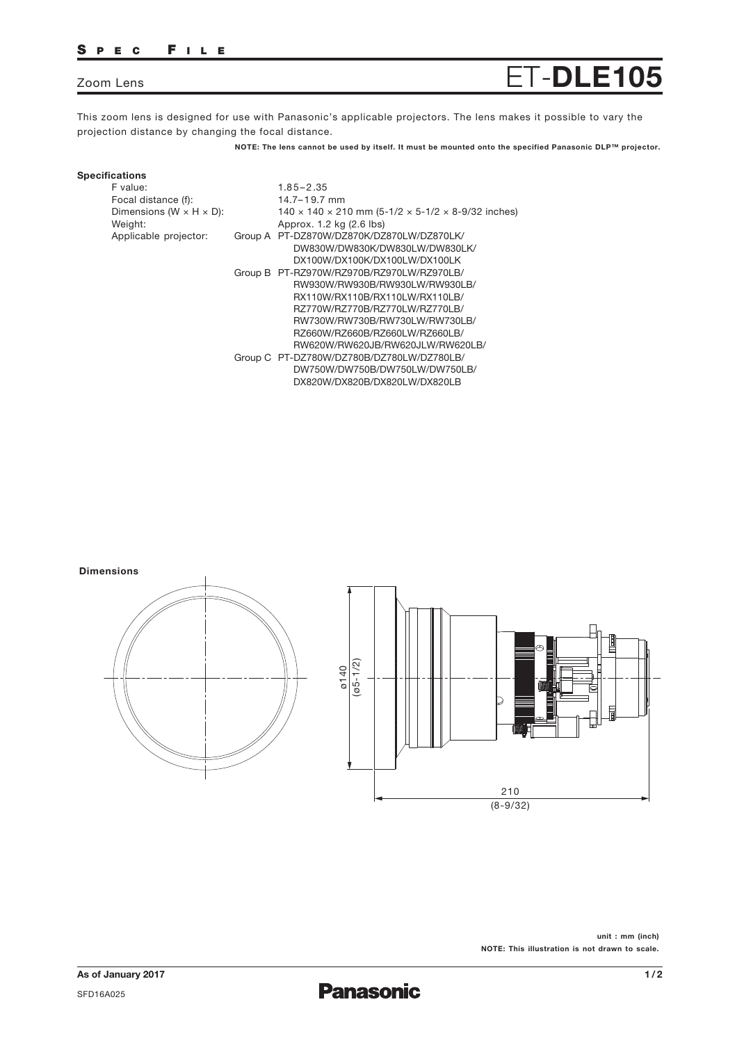## S PEC F ILE

# Zoom Lens ET-**DLE105**

This zoom lens is designed for use with Panasonic's applicable projectors. The lens makes it possible to vary the projection distance by changing the focal distance.

**NOTE: The lens cannot be used by itself. It must be mounted onto the specified Panasonic DLP™ projector.**

#### **Specifications** F value:

| F value:<br>Focal distance (f):<br>Dimensions ( $W \times H \times D$ ):<br>Weight: |         | $1.85 - 2.35$<br>$14.7 - 19.7$ mm<br>$140 \times 140 \times 210$ mm (5-1/2 $\times$ 5-1/2 $\times$ 8-9/32 inches)<br>Approx. 1.2 kg (2.6 lbs) |
|-------------------------------------------------------------------------------------|---------|-----------------------------------------------------------------------------------------------------------------------------------------------|
| Applicable projector:                                                               | Group A | PT-DZ870W/DZ870K/DZ870LW/DZ870LK/                                                                                                             |
|                                                                                     |         | DW830W/DW830K/DW830LW/DW830LK/                                                                                                                |
|                                                                                     |         | DX100W/DX100K/DX100LW/DX100LK                                                                                                                 |
|                                                                                     |         | Group B PT-RZ970W/RZ970B/RZ970LW/RZ970LB/                                                                                                     |
|                                                                                     |         | RW930W/RW930B/RW930LW/RW930LB/                                                                                                                |
|                                                                                     |         | RX110W/RX110B/RX110LW/RX110LB/                                                                                                                |
|                                                                                     |         | RZ770W/RZ770B/RZ770LW/RZ770LB/                                                                                                                |
|                                                                                     |         | RW730W/RW730B/RW730LW/RW730LB/                                                                                                                |
|                                                                                     |         | RZ660W/RZ660B/RZ660LW/RZ660LB/                                                                                                                |
|                                                                                     |         | RW620W/RW620JB/RW620JLW/RW620LB/                                                                                                              |
|                                                                                     |         | Group C PT-DZ780W/DZ780B/DZ780LW/DZ780LB/                                                                                                     |
|                                                                                     |         | DW750W/DW750B/DW750LW/DW750LB/                                                                                                                |
|                                                                                     |         | DX820W/DX820B/DX820LW/DX820LB                                                                                                                 |